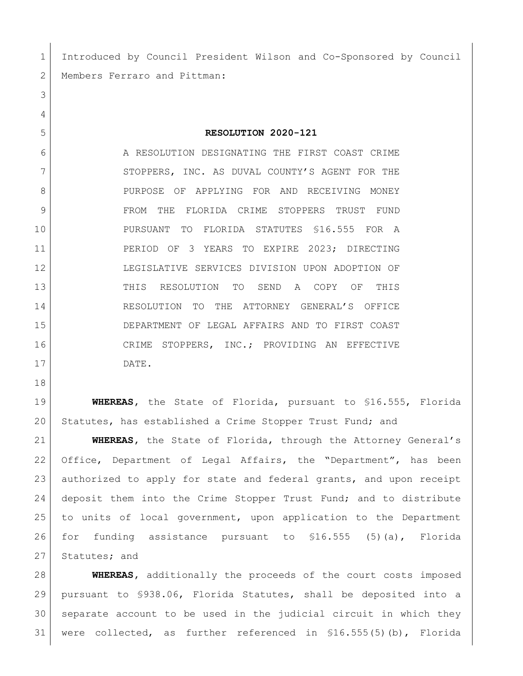Introduced by Council President Wilson and Co-Sponsored by Council 2 | Members Ferraro and Pittman:

## **RESOLUTION 2020-121**

6 A RESOLUTION DESIGNATING THE FIRST COAST CRIME 7 STOPPERS, INC. AS DUVAL COUNTY'S AGENT FOR THE 8 PURPOSE OF APPLYING FOR AND RECEIVING MONEY 9 FROM THE FLORIDA CRIME STOPPERS TRUST FUND PURSUANT TO FLORIDA STATUTES §16.555 FOR A 11 | PERIOD OF 3 YEARS TO EXPIRE 2023; DIRECTING LEGISLATIVE SERVICES DIVISION UPON ADOPTION OF THIS RESOLUTION TO SEND A COPY OF THIS RESOLUTION TO THE ATTORNEY GENERAL'S OFFICE DEPARTMENT OF LEGAL AFFAIRS AND TO FIRST COAST CRIME STOPPERS, INC.; PROVIDING AN EFFECTIVE DATE.

 **WHEREAS,** the State of Florida, pursuant to §16.555, Florida Statutes, has established a Crime Stopper Trust Fund; and

 **WHEREAS,** the State of Florida, through the Attorney General's Office, Department of Legal Affairs, the "Department", has been authorized to apply for state and federal grants, and upon receipt 24 deposit them into the Crime Stopper Trust Fund; and to distribute to units of local government, upon application to the Department for funding assistance pursuant to §16.555 (5)(a), Florida 27 Statutes; and

 **WHEREAS,** additionally the proceeds of the court costs imposed pursuant to §938.06, Florida Statutes, shall be deposited into a separate account to be used in the judicial circuit in which they were collected, as further referenced in §16.555(5)(b), Florida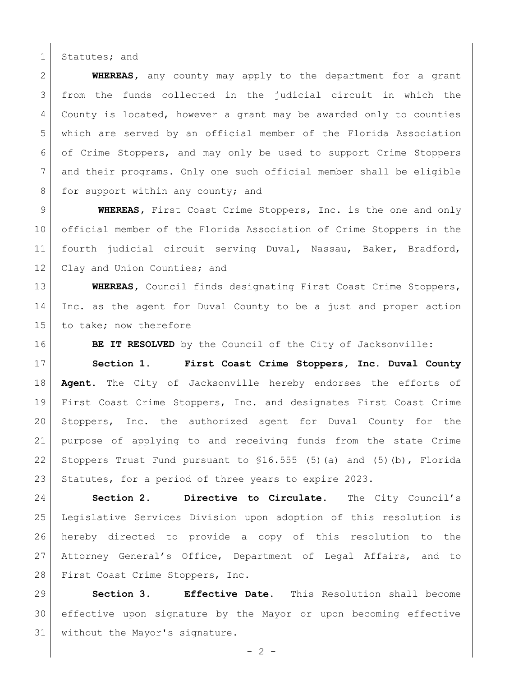1 Statutes; and

 **WHEREAS,** any county may apply to the department for a grant from the funds collected in the judicial circuit in which the County is located, however a grant may be awarded only to counties which are served by an official member of the Florida Association of Crime Stoppers, and may only be used to support Crime Stoppers and their programs. Only one such official member shall be eligible 8 for support within any county; and

 **WHEREAS,** First Coast Crime Stoppers, Inc. is the one and only official member of the Florida Association of Crime Stoppers in the fourth judicial circuit serving Duval, Nassau, Baker, Bradford, 12 Clay and Union Counties; and

**WHEREAS**, Council finds designating First Coast Crime Stoppers, Inc. as the agent for Duval County to be a just and proper action 15 to take; now therefore

**BE IT RESOLVED** by the Council of the City of Jacksonville:

 **Section 1. First Coast Crime Stoppers, Inc. Duval County Agent.** The City of Jacksonville hereby endorses the efforts of First Coast Crime Stoppers, Inc. and designates First Coast Crime Stoppers, Inc. the authorized agent for Duval County for the purpose of applying to and receiving funds from the state Crime 22 Stoppers Trust Fund pursuant to  $$16.555$  (5)(a) and (5)(b), Florida 23 Statutes, for a period of three years to expire 2023.

 **Section 2. Directive to Circulate.** The City Council's Legislative Services Division upon adoption of this resolution is hereby directed to provide a copy of this resolution to the Attorney General's Office, Department of Legal Affairs, and to 28 First Coast Crime Stoppers, Inc.

 **Section 3. Effective Date.** This Resolution shall become effective upon signature by the Mayor or upon becoming effective without the Mayor's signature.

 $-2 -$